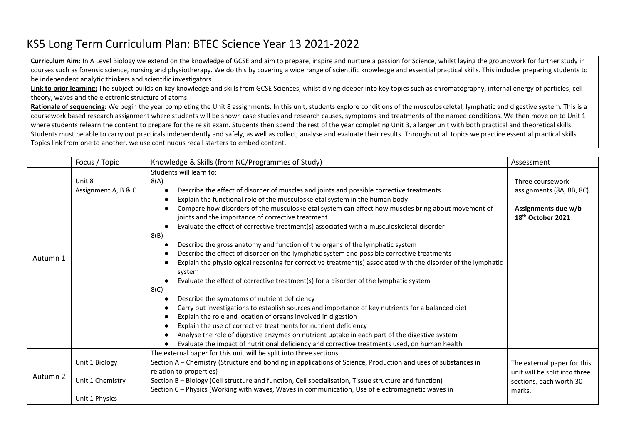## KS5 Long Term Curriculum Plan: BTEC Science Year 13 2021-2022

**Curriculum Aim:** In A Level Biology we extend on the knowledge of GCSE and aim to prepare, inspire and nurture a passion for Science, whilst laying the groundwork for further study in courses such as forensic science, nursing and physiotherapy. We do this by covering a wide range of scientific knowledge and essential practical skills. This includes preparing students to be independent analytic thinkers and scientific investigators.

**Link to prior learning:** The subject builds on key knowledge and skills from GCSE Sciences, whilst diving deeper into key topics such as chromatography, internal energy of particles, cell theory, waves and the electronic structure of atoms.

Rationale of sequencing: We begin the year completing the Unit 8 assignments. In this unit, students explore conditions of the musculoskeletal, lymphatic and digestive system. This is a coursework based research assignment where students will be shown case studies and research causes, symptoms and treatments of the named conditions. We then move on to Unit 1 where students relearn the content to prepare for the re sit exam. Students then spend the rest of the year completing Unit 3, a larger unit with both practical and theoretical skills. Students must be able to carry out practicals independently and safely, as well as collect, analyse and evaluate their results. Throughout all topics we practice essential practical skills. Topics link from one to another, we use continuous recall starters to embed content.

|          | Focus / Topic                                        | Knowledge & Skills (from NC/Programmes of Study)                                                                                                                                                                                                                                                                                                                                                                                                                                                                                                                                                                                                                                                                                                                                                                                                                                                                                                                                                                                                                                                                                                                                                                                                                                                                                                                                  | Assessment                                                                                            |
|----------|------------------------------------------------------|-----------------------------------------------------------------------------------------------------------------------------------------------------------------------------------------------------------------------------------------------------------------------------------------------------------------------------------------------------------------------------------------------------------------------------------------------------------------------------------------------------------------------------------------------------------------------------------------------------------------------------------------------------------------------------------------------------------------------------------------------------------------------------------------------------------------------------------------------------------------------------------------------------------------------------------------------------------------------------------------------------------------------------------------------------------------------------------------------------------------------------------------------------------------------------------------------------------------------------------------------------------------------------------------------------------------------------------------------------------------------------------|-------------------------------------------------------------------------------------------------------|
| Autumn 1 | Unit 8<br>Assignment A, B & C.                       | Students will learn to:<br>8(A)<br>Describe the effect of disorder of muscles and joints and possible corrective treatments<br>Explain the functional role of the musculoskeletal system in the human body<br>Compare how disorders of the musculoskeletal system can affect how muscles bring about movement of<br>joints and the importance of corrective treatment<br>Evaluate the effect of corrective treatment(s) associated with a musculoskeletal disorder<br>8(B)<br>Describe the gross anatomy and function of the organs of the lymphatic system<br>Describe the effect of disorder on the lymphatic system and possible corrective treatments<br>Explain the physiological reasoning for corrective treatment(s) associated with the disorder of the lymphatic<br>system<br>Evaluate the effect of corrective treatment(s) for a disorder of the lymphatic system<br>8(C)<br>Describe the symptoms of nutrient deficiency<br>Carry out investigations to establish sources and importance of key nutrients for a balanced diet<br>Explain the role and location of organs involved in digestion<br>Explain the use of corrective treatments for nutrient deficiency<br>Analyse the role of digestive enzymes on nutrient uptake in each part of the digestive system<br>Evaluate the impact of nutritional deficiency and corrective treatments used, on human health | Three coursework<br>assignments (8A, 8B, 8C).<br>Assignments due w/b<br>18 <sup>th</sup> October 2021 |
| Autumn 2 | Unit 1 Biology<br>Unit 1 Chemistry<br>Unit 1 Physics | The external paper for this unit will be split into three sections.<br>Section A – Chemistry (Structure and bonding in applications of Science, Production and uses of substances in<br>relation to properties)<br>Section B - Biology (Cell structure and function, Cell specialisation, Tissue structure and function)<br>Section C - Physics (Working with waves, Waves in communication, Use of electromagnetic waves in                                                                                                                                                                                                                                                                                                                                                                                                                                                                                                                                                                                                                                                                                                                                                                                                                                                                                                                                                      | The external paper for this<br>unit will be split into three<br>sections, each worth 30<br>marks.     |